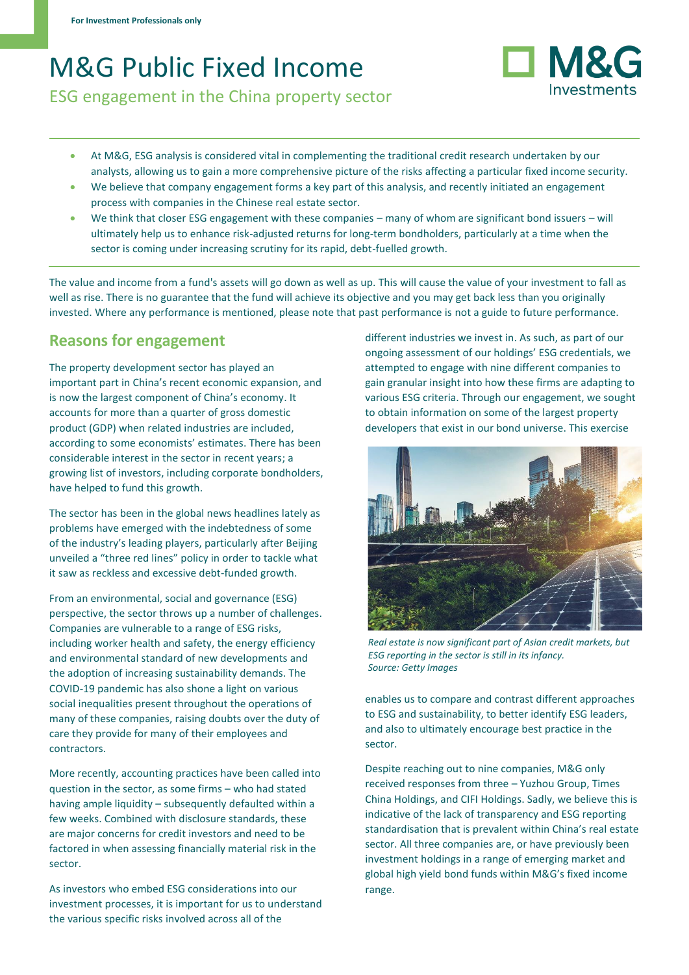# M&G Public Fixed Income

ESG engagement in the China property sector

- At M&G, ESG analysis is considered vital in complementing the traditional credit research undertaken by our analysts, allowing us to gain a more comprehensive picture of the risks affecting a particular fixed income security.
- We believe that company engagement forms a key part of this analysis, and recently initiated an engagement process with companies in the Chinese real estate sector.
- We think that closer ESG engagement with these companies many of whom are significant bond issuers will ultimately help us to enhance risk-adjusted returns for long-term bondholders, particularly at a time when the sector is coming under increasing scrutiny for its rapid, debt-fuelled growth.

The value and income from a fund's assets will go down as well as up. This will cause the value of your investment to fall as well as rise. There is no guarantee that the fund will achieve its objective and you may get back less than you originally invested. Where any performance is mentioned, please note that past performance is not a guide to future performance.

## **Reasons for engagement**

The property development sector has played an important part in China's recent economic expansion, and is now the largest component of China's economy. It accounts for more than a quarter of gross domestic product (GDP) when related industries are included, according to some economists' estimates. There has been considerable interest in the sector in recent years; a growing list of investors, including corporate bondholders, have helped to fund this growth.

The sector has been in the global news headlines lately as problems have emerged with the indebtedness of some of the industry's leading players, particularly after Beijing unveiled a "three red lines" policy in order to tackle what it saw as reckless and excessive debt-funded growth.

From an environmental, social and governance (ESG) perspective, the sector throws up a number of challenges. Companies are vulnerable to a range of ESG risks, including worker health and safety, the energy efficiency and environmental standard of new developments and the adoption of increasing sustainability demands. The COVID-19 pandemic has also shone a light on various social inequalities present throughout the operations of many of these companies, raising doubts over the duty of care they provide for many of their employees and contractors.

More recently, accounting practices have been called into question in the sector, as some firms – who had stated having ample liquidity – subsequently defaulted within a few weeks. Combined with disclosure standards, these are major concerns for credit investors and need to be factored in when assessing financially material risk in the sector.

As investors who embed ESG considerations into our investment processes, it is important for us to understand the various specific risks involved across all of the

different industries we invest in. As such, as part of our ongoing assessment of our holdings' ESG credentials, we attempted to engage with nine different companies to gain granular insight into how these firms are adapting to various ESG criteria. Through our engagement, we sought to obtain information on some of the largest property developers that exist in our bond universe. This exercise

**TM&G** 

Investments



*Real estate is now significant part of Asian credit markets, but ESG reporting in the sector is still in its infancy. Source: Getty Images*

enables us to compare and contrast different approaches to ESG and sustainability, to better identify ESG leaders, and also to ultimately encourage best practice in the sector.

Despite reaching out to nine companies, M&G only received responses from three – Yuzhou Group, Times China Holdings, and CIFI Holdings. Sadly, we believe this is indicative of the lack of transparency and ESG reporting standardisation that is prevalent within China's real estate sector. All three companies are, or have previously been investment holdings in a range of emerging market and global high yield bond funds within M&G's fixed income range.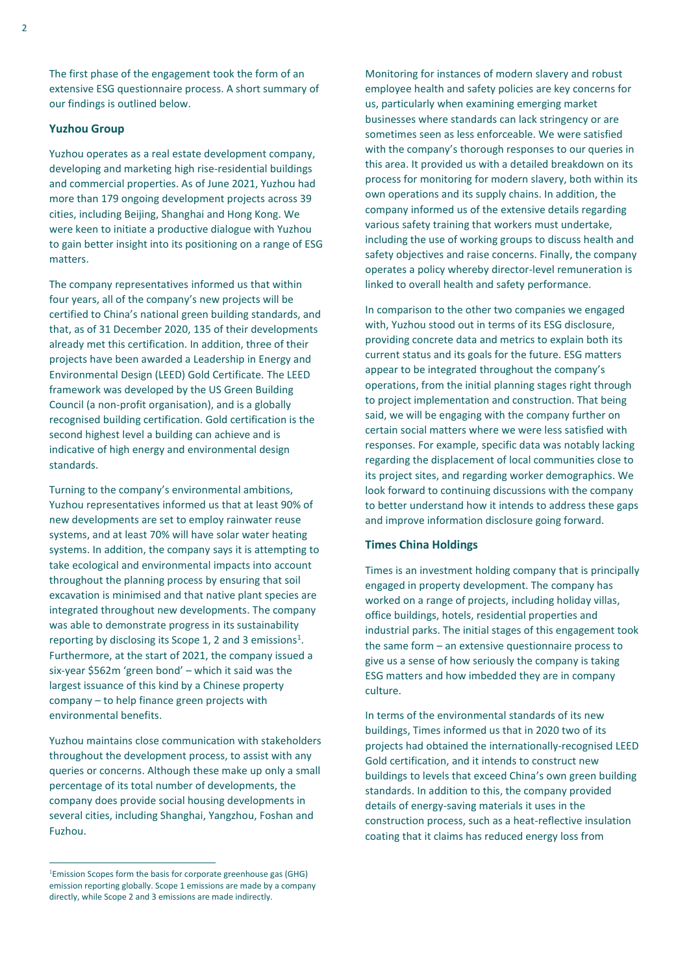The first phase of the engagement took the form of an extensive ESG questionnaire process. A short summary of our findings is outlined below.

#### **Yuzhou Group**

Yuzhou operates as a real estate development company, developing and marketing high rise-residential buildings and commercial properties. As of June 2021, Yuzhou had more than 179 ongoing development projects across 39 cities, including Beijing, Shanghai and Hong Kong. We were keen to initiate a productive dialogue with Yuzhou to gain better insight into its positioning on a range of ESG matters.

The company representatives informed us that within four years, all of the company's new projects will be certified to China's national green building standards, and that, as of 31 December 2020, 135 of their developments already met this certification. In addition, three of their projects have been awarded a Leadership in Energy and Environmental Design (LEED) Gold Certificate. The LEED framework was developed by the US Green Building Council (a non-profit organisation), and is a globally recognised building certification. Gold certification is the second highest level a building can achieve and is indicative of high energy and environmental design standards.

Turning to the company's environmental ambitions, Yuzhou representatives informed us that at least 90% of new developments are set to employ rainwater reuse systems, and at least 70% will have solar water heating systems. In addition, the company says it is attempting to take ecological and environmental impacts into account throughout the planning process by ensuring that soil excavation is minimised and that native plant species are integrated throughout new developments. The company was able to demonstrate progress in its sustainability reporting by disclosing its Scope 1, 2 and 3 emissions<sup>1</sup>. Furthermore, at the start of 2021, the company issued a six-year \$562m 'green bond' – which it said was the largest issuance of this kind by a Chinese property company – to help finance green projects with environmental benefits.

Yuzhou maintains close communication with stakeholders throughout the development process, to assist with any queries or concerns. Although these make up only a small percentage of its total number of developments, the company does provide social housing developments in several cities, including Shanghai, Yangzhou, Foshan and Fuzhou.

Monitoring for instances of modern slavery and robust employee health and safety policies are key concerns for us, particularly when examining emerging market businesses where standards can lack stringency or are sometimes seen as less enforceable. We were satisfied with the company's thorough responses to our queries in this area. It provided us with a detailed breakdown on its process for monitoring for modern slavery, both within its own operations and its supply chains. In addition, the company informed us of the extensive details regarding various safety training that workers must undertake, including the use of working groups to discuss health and safety objectives and raise concerns. Finally, the company operates a policy whereby director-level remuneration is linked to overall health and safety performance.

In comparison to the other two companies we engaged with, Yuzhou stood out in terms of its ESG disclosure, providing concrete data and metrics to explain both its current status and its goals for the future. ESG matters appear to be integrated throughout the company's operations, from the initial planning stages right through to project implementation and construction. That being said, we will be engaging with the company further on certain social matters where we were less satisfied with responses. For example, specific data was notably lacking regarding the displacement of local communities close to its project sites, and regarding worker demographics. We look forward to continuing discussions with the company to better understand how it intends to address these gaps and improve information disclosure going forward.

#### **Times China Holdings**

Times is an investment holding company that is principally engaged in property development. The company has worked on a range of projects, including holiday villas, office buildings, hotels, residential properties and industrial parks. The initial stages of this engagement took the same form – an extensive questionnaire process to give us a sense of how seriously the company is taking ESG matters and how imbedded they are in company culture.

In terms of the environmental standards of its new buildings, Times informed us that in 2020 two of its projects had obtained the internationally-recognised LEED Gold certification, and it intends to construct new buildings to levels that exceed China's own green building standards. In addition to this, the company provided details of energy-saving materials it uses in the construction process, such as a heat-reflective insulation coating that it claims has reduced energy loss from

<sup>1</sup> Emission Scopes form the basis for corporate greenhouse gas (GHG) emission reporting globally. Scope 1 emissions are made by a company directly, while Scope 2 and 3 emissions are made indirectly.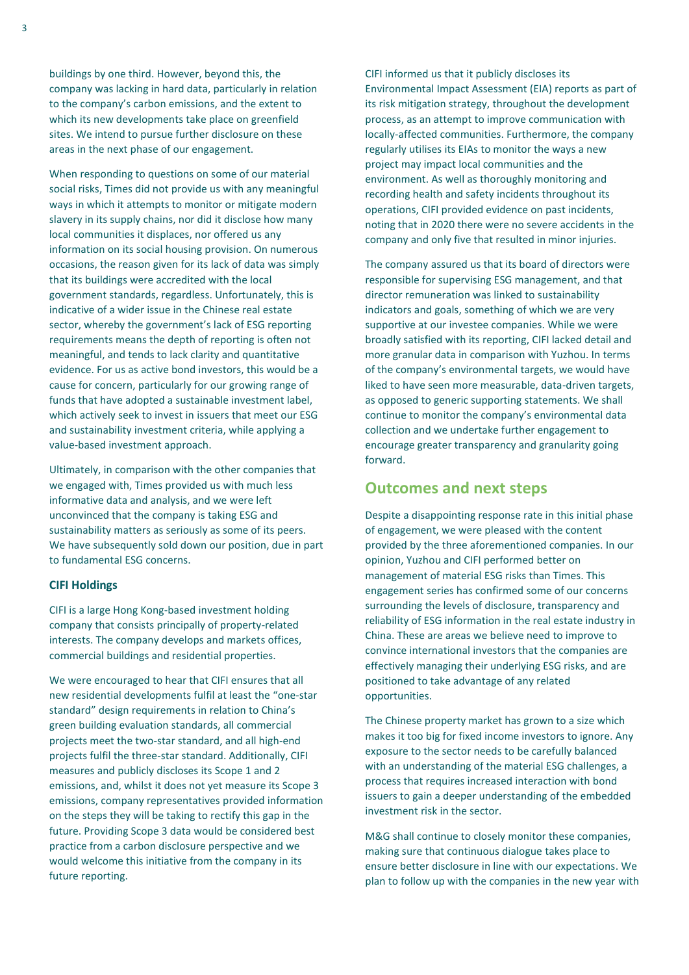buildings by one third. However, beyond this, the company was lacking in hard data, particularly in relation to the company's carbon emissions, and the extent to which its new developments take place on greenfield sites. We intend to pursue further disclosure on these areas in the next phase of our engagement.

When responding to questions on some of our material social risks, Times did not provide us with any meaningful ways in which it attempts to monitor or mitigate modern slavery in its supply chains, nor did it disclose how many local communities it displaces, nor offered us any information on its social housing provision. On numerous occasions, the reason given for its lack of data was simply that its buildings were accredited with the local government standards, regardless. Unfortunately, this is indicative of a wider issue in the Chinese real estate sector, whereby the government's lack of ESG reporting requirements means the depth of reporting is often not meaningful, and tends to lack clarity and quantitative evidence. For us as active bond investors, this would be a cause for concern, particularly for our growing range of funds that have adopted a sustainable investment label, which actively seek to invest in issuers that meet our ESG and sustainability investment criteria, while applying a value-based investment approach.

Ultimately, in comparison with the other companies that we engaged with, Times provided us with much less informative data and analysis, and we were left unconvinced that the company is taking ESG and sustainability matters as seriously as some of its peers. We have subsequently sold down our position, due in part to fundamental ESG concerns.

#### **CIFI Holdings**

CIFI is a large Hong Kong-based investment holding company that consists principally of property-related interests. The company develops and markets offices, commercial buildings and residential properties.

We were encouraged to hear that CIFI ensures that all new residential developments fulfil at least the "one-star standard" design requirements in relation to China's green building evaluation standards, all commercial projects meet the two-star standard, and all high-end projects fulfil the three-star standard. Additionally, CIFI measures and publicly discloses its Scope 1 and 2 emissions, and, whilst it does not yet measure its Scope 3 emissions, company representatives provided information on the steps they will be taking to rectify this gap in the future. Providing Scope 3 data would be considered best practice from a carbon disclosure perspective and we would welcome this initiative from the company in its future reporting.

CIFI informed us that it publicly discloses its Environmental Impact Assessment (EIA) reports as part of its risk mitigation strategy, throughout the development process, as an attempt to improve communication with locally-affected communities. Furthermore, the company regularly utilises its EIAs to monitor the ways a new project may impact local communities and the environment. As well as thoroughly monitoring and recording health and safety incidents throughout its operations, CIFI provided evidence on past incidents, noting that in 2020 there were no severe accidents in the company and only five that resulted in minor injuries.

The company assured us that its board of directors were responsible for supervising ESG management, and that director remuneration was linked to sustainability indicators and goals, something of which we are very supportive at our investee companies. While we were broadly satisfied with its reporting, CIFI lacked detail and more granular data in comparison with Yuzhou. In terms of the company's environmental targets, we would have liked to have seen more measurable, data-driven targets, as opposed to generic supporting statements. We shall continue to monitor the company's environmental data collection and we undertake further engagement to encourage greater transparency and granularity going forward.

### **Outcomes and next steps**

Despite a disappointing response rate in this initial phase of engagement, we were pleased with the content provided by the three aforementioned companies. In our opinion, Yuzhou and CIFI performed better on management of material ESG risks than Times. This engagement series has confirmed some of our concerns surrounding the levels of disclosure, transparency and reliability of ESG information in the real estate industry in China. These are areas we believe need to improve to convince international investors that the companies are effectively managing their underlying ESG risks, and are positioned to take advantage of any related opportunities.

The Chinese property market has grown to a size which makes it too big for fixed income investors to ignore. Any exposure to the sector needs to be carefully balanced with an understanding of the material ESG challenges, a process that requires increased interaction with bond issuers to gain a deeper understanding of the embedded investment risk in the sector.

M&G shall continue to closely monitor these companies, making sure that continuous dialogue takes place to ensure better disclosure in line with our expectations. We plan to follow up with the companies in the new year with